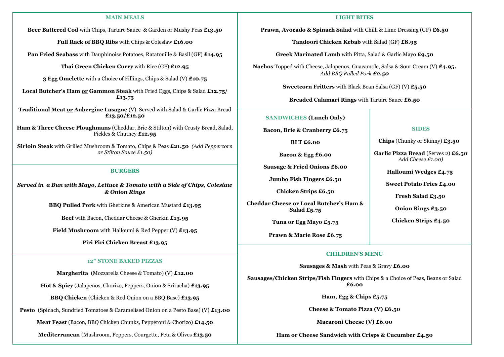### **MAIN MEALS**

**Beer Battered Cod** with Chips, Tartare Sauce & Garden or Mushy Peas **£13.50**

**Full Rack of BBQ Ribs** with Chips & Coleslaw **£16.00**

**Pan Fried Seabass** with Dauphinoise Potatoes, Ratatouille & Basil (GF) **£14.95**

**Thai Green Chicken Curry** with Rice (GF) **£12.95**

**3 Egg Omelette** with a Choice of Fillings, Chips & Salad (V) **£10.75**

**Local Butcher's Ham or Gammon Steak** with Fried Eggs, Chips & Salad **£12.75/ £13.75**

**Traditional Meat or Aubergine Lasagne** (V). Served with Salad & Garlic Pizza Bread **£13.50/£12.50**

**Ham & Three Cheese Ploughmans** (Cheddar, Brie & Stilton) with Crusty Bread, Salad, Pickles & Chutney **£12.95**

**Sirloin Steak** with Grilled Mushroom & Tomato, Chips & Peas **£21.50** *(Add Peppercorn or Stilton Sauce £1.50)*

### **BURGERS**

*Served in a Bun with Mayo, Lettuce & Tomato with a Side of Chips, Coleslaw & Onion Rings*

**BBQ Pulled Pork** with Gherkins & American Mustard **£13.95**

**Beef** with Bacon, Cheddar Cheese & Gherkin **£13.95**

**Field Mushroom** with Halloumi & Red Pepper (V) **£13.95**

**Piri Piri Chicken Breast £13.95**

#### **12" STONE BAKED PIZZAS**

**Margherita** (Mozzarella Cheese & Tomato) (V) **£12.00**

**Hot & Spicy** (Jalapenos, Chorizo, Peppers, Onion & Sriracha) **£13.95**

**BBQ Chicken** (Chicken & Red Onion on a BBQ Base) **£13.95**

**Pesto** (Spinach, Sundried Tomatoes & Caramelised Onion on a Pesto Base) (V) **£13.00**

**Meat Feast** (Bacon, BBQ Chicken Chunks, Pepperoni & Chorizo) **£14.50**

**Mediterranean** (Mushroom, Peppers, Courgette, Feta & Olives **£13.50**

#### **LIGHT BITES**

**Prawn, Avocado & Spinach Salad** with Chilli & Lime Dressing (GF) **£6.50**

**Tandoori Chicken Kebab** with Salad (GF) **£8.95**

**Greek Marinated Lamb** with Pitta, Salad & Garlic Mayo **£9.50**

**Nachos** Topped with Cheese, Jalapenos, Guacamole, Salsa & Sour Cream (V) **£4.95.**  *Add BBQ Pulled Pork £2.50*

**Sweetcorn Fritters** with Black Bean Salsa (GF) (V) **£5.50**

**Breaded Calamari Rings** with Tartare Sauce **£6.50**

**SANDWICHES (Lunch Only)**

**Bacon, Brie & Cranberry £6.75**

**BLT £6.00**

**Bacon & Egg £6.00**

**Sausage & Fried Onions £6.00**

**Jumbo Fish Fingers £6.50**

**Chicken Strips £6.50**

**Cheddar Cheese or Local Butcher's Ham & Salad £5.75**

**Tuna or Egg Mayo £5.75**

**Prawn & Marie Rose £6.75**

#### **SIDES**

**Chips** (Chunky or Skinny) **£3.50**

**Garlic Pizza Bread** (Serves 2) **£6.50**  *Add Cheese £1.00)*

**Halloumi Wedges £4.75**

**Sweet Potato Fries £4.00**

**Fresh Salad £3.50**

**Onion Rings £3.50**

**Chicken Strips £4.50**

## **CHILDREN'S MENU**

**Sausages & Mash** with Peas & Gravy **£6.00**

**Sausages/Chicken Strips/Fish Fingers** with Chips & a Choice of Peas, Beans or Salad **£6.00**

**Ham, Egg & Chips £5.75**

**Cheese & Tomato Pizza (V) £6.50** 

**Macaroni Cheese (V) £6.00**

**Ham or Cheese Sandwich with Crisps & Cucumber £4.50**